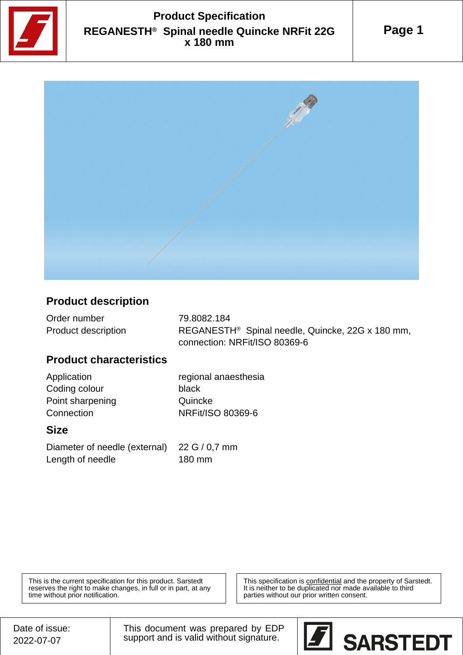

## **Product Specification REGANESTH® Spinal needle Quincke NRFit 22G x 180 mm**





#### **Product description**

| Order number        | 79.8082.184                                                  |
|---------------------|--------------------------------------------------------------|
| Product description | REGANESTH <sup>®</sup> Spinal needle, Quincke, 22G x 180 mm, |
|                     | connection: NRFit/ISO 80369-6                                |

#### **Product characteristics**

Coding colour black Point sharpening **Quincke** Connection NRFit/ISO 80369-6

Application regional anaesthesia

#### **Size**

Diameter of needle (external) 22 G / 0,7 mm Length of needle 180 mm

This is the current specification for this product. Sarstedt reserves the right to make changes, in full or in part, at any time without prior notification.

This specification is **confidential** and the property of Sarstedt. It is neither to be duplicated nor made available to third parties without our prior written consent.

This document was prepared by EDP support and is valid without signature.